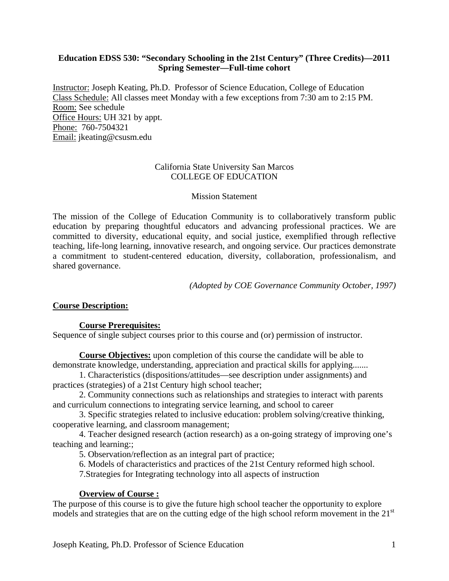# **Education EDSS 530: "Secondary Schooling in the 21st Century" (Three Credits)—2011 Spring Semester—Full-time cohort**

Instructor: Joseph Keating, Ph.D. Professor of Science Education, College of Education Class Schedule: All classes meet Monday with a few exceptions from 7:30 am to 2:15 PM. Room: See schedule Office Hours: UH 321 by appt. Phone: 760-7504321 Email: jkeating@csusm.edu

# California State University San Marcos COLLEGE OF EDUCATION

### Mission Statement

The mission of the College of Education Community is to collaboratively transform public education by preparing thoughtful educators and advancing professional practices. We are committed to diversity, educational equity, and social justice, exemplified through reflective teaching, life-long learning, innovative research, and ongoing service. Our practices demonstrate a commitment to student-centered education, diversity, collaboration, professionalism, and shared governance.

*(Adopted by COE Governance Community October, 1997)* 

# **Course Description:**

#### **Course Prerequisites:**

Sequence of single subject courses prior to this course and (or) permission of instructor.

**Course Objectives:** upon completion of this course the candidate will be able to demonstrate knowledge, understanding, appreciation and practical skills for applying.......

1. Characteristics (dispositions/attitudes—see description under assignments) and practices (strategies) of a 21st Century high school teacher;

2. Community connections such as relationships and strategies to interact with parents and curriculum connections to integrating service learning, and school to career

3. Specific strategies related to inclusive education: problem solving/creative thinking, cooperative learning, and classroom management;

4. Teacher designed research (action research) as a on-going strategy of improving one's teaching and learning:;

5. Observation/reflection as an integral part of practice;

6. Models of characteristics and practices of the 21st Century reformed high school.

7.Strategies for Integrating technology into all aspects of instruction

# **Overview of Course :**

The purpose of this course is to give the future high school teacher the opportunity to explore models and strategies that are on the cutting edge of the high school reform movement in the 21<sup>st</sup>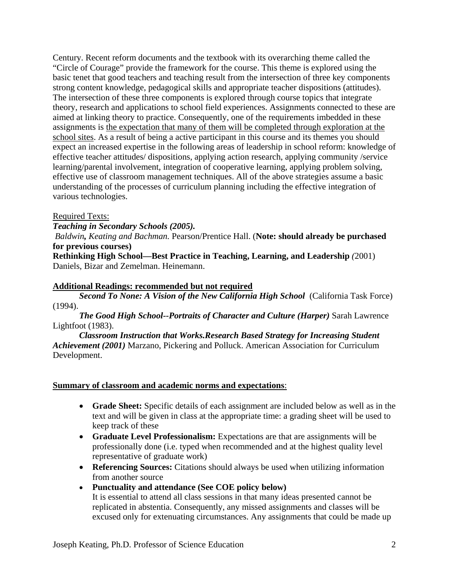Century. Recent reform documents and the textbook with its overarching theme called the "Circle of Courage" provide the framework for the course. This theme is explored using the basic tenet that good teachers and teaching result from the intersection of three key components strong content knowledge, pedagogical skills and appropriate teacher dispositions (attitudes). The intersection of these three components is explored through course topics that integrate theory, research and applications to school field experiences. Assignments connected to these are aimed at linking theory to practice. Consequently, one of the requirements imbedded in these assignments is the expectation that many of them will be completed through exploration at the school sites. As a result of being a active participant in this course and its themes you should expect an increased expertise in the following areas of leadership in school reform: knowledge of effective teacher attitudes/ dispositions, applying action research, applying community /service learning/parental involvement, integration of cooperative learning, applying problem solving, effective use of classroom management techniques. All of the above strategies assume a basic understanding of the processes of curriculum planning including the effective integration of various technologies.

# Required Texts:

*Teaching in Secondary Schools (2005).* 

*Baldwin, Keating and Bachman.* Pearson/Prentice Hall. (**Note: should already be purchased for previous courses)** 

**Rethinking High School—Best Practice in Teaching, Learning, and Leadership** *(*2001) Daniels, Bizar and Zemelman. Heinemann.

# **Additional Readings: recommended but not required**

 (1994). *Second To None: A Vision of the New California High School* (California Task Force)

*The Good High School--Portraits of Character and Culture (Harper)* Sarah Lawrence Lightfoot (1983).

*Classroom Instruction that Works.Research Based Strategy for Increasing Student Achievement (2001)* Marzano, Pickering and Polluck. American Association for Curriculum Development.

# **Summary of classroom and academic norms and expectations**:

- **Grade Sheet:** Specific details of each assignment are included below as well as in the text and will be given in class at the appropriate time: a grading sheet will be used to keep track of these
- **Graduate Level Professionalism:** Expectations are that are assignments will be professionally done (i.e. typed when recommended and at the highest quality level representative of graduate work)
- **Referencing Sources:** Citations should always be used when utilizing information from another source
- **Punctuality and attendance (See COE policy below)**  It is essential to attend all class sessions in that many ideas presented cannot be replicated in abstentia. Consequently, any missed assignments and classes will be excused only for extenuating circumstances. Any assignments that could be made up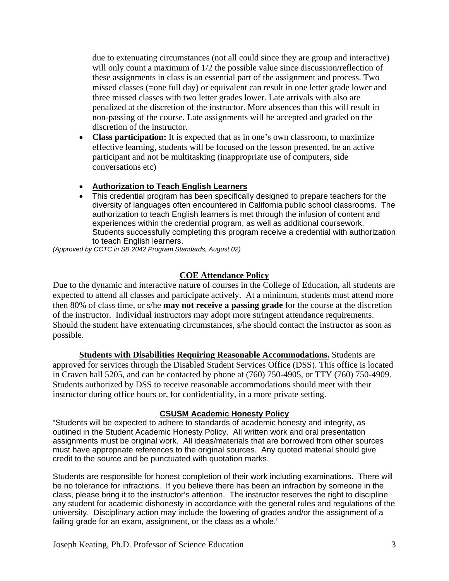due to extenuating circumstances (not all could since they are group and interactive) will only count a maximum of  $1/2$  the possible value since discussion/reflection of these assignments in class is an essential part of the assignment and process. Two missed classes (=one full day) or equivalent can result in one letter grade lower and three missed classes with two letter grades lower. Late arrivals with also are penalized at the discretion of the instructor. More absences than this will result in non-passing of the course. Late assignments will be accepted and graded on the discretion of the instructor.

- **Class participation:** It is expected that as in one's own classroom, to maximize effective learning, students will be focused on the lesson presented, be an active participant and not be multitasking (inappropriate use of computers, side conversations etc)
- **Authorization to Teach English Learners**
- This credential program has been specifically designed to prepare teachers for the diversity of languages often encountered in California public school classrooms. The authorization to teach English learners is met through the infusion of content and experiences within the credential program, as well as additional coursework. Students successfully completing this program receive a credential with authorization to teach English learners.

*(Approved by CCTC in SB 2042 Program Standards, August 02)* 

# **COE Attendance Policy**

Due to the dynamic and interactive nature of courses in the College of Education, all students are expected to attend all classes and participate actively. At a minimum, students must attend more then 80% of class time, or s/he **may not receive a passing grade** for the course at the discretion of the instructor. Individual instructors may adopt more stringent attendance requirements. Should the student have extenuating circumstances, s/he should contact the instructor as soon as possible.

**Students with Disabilities Requiring Reasonable Accommodations.** Students are approved for services through the Disabled Student Services Office (DSS). This office is located in Craven hall 5205, and can be contacted by phone at (760) 750-4905, or TTY (760) 750-4909. Students authorized by DSS to receive reasonable accommodations should meet with their instructor during office hours or, for confidentiality, in a more private setting.

# **CSUSM Academic Honesty Policy**

"Students will be expected to adhere to standards of academic honesty and integrity, as outlined in the Student Academic Honesty Policy. All written work and oral presentation assignments must be original work. All ideas/materials that are borrowed from other sources must have appropriate references to the original sources. Any quoted material should give credit to the source and be punctuated with quotation marks.

Students are responsible for honest completion of their work including examinations. There will be no tolerance for infractions. If you believe there has been an infraction by someone in the class, please bring it to the instructor's attention. The instructor reserves the right to discipline any student for academic dishonesty in accordance with the general rules and regulations of the university. Disciplinary action may include the lowering of grades and/or the assignment of a failing grade for an exam, assignment, or the class as a whole."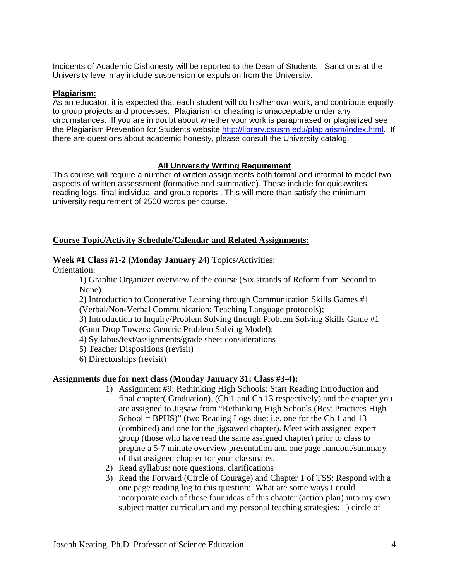Incidents of Academic Dishonesty will be reported to the Dean of Students. Sanctions at the University level may include suspension or expulsion from the University.

#### **Plagiarism:**

As an educator, it is expected that each student will do his/her own work, and contribute equally to group projects and processes. Plagiarism or cheating is unacceptable under any circumstances. If you are in doubt about whether your work is paraphrased or plagiarized see the Plagiarism Prevention for Students website http://library.csusm.edu/plagiarism/index.html. If there are questions about academic honesty, please consult the University catalog.

#### **All University Writing Requirement**

This course will require a number of written assignments both formal and informal to model two aspects of written assessment (formative and summative). These include for quickwrites, reading logs, final individual and group reports . This will more than satisfy the minimum university requirement of 2500 words per course.

#### **Course Topic/Activity Schedule/Calendar and Related Assignments:**

#### **Week #1 Class #1-2 (Monday January 24)** Topics/Activities:

Orientation:

1) Graphic Organizer overview of the course (Six strands of Reform from Second to None)

2) Introduction to Cooperative Learning through Communication Skills Games #1 (Verbal/Non-Verbal Communication: Teaching Language protocols);

3) Introduction to Inquiry/Problem Solving through Problem Solving Skills Game #1 (Gum Drop Towers: Generic Problem Solving Model);

4) Syllabus/text/assignments/grade sheet considerations

5) Teacher Dispositions (revisit)

6) Directorships (revisit)

#### **Assignments due for next class (Monday January 31: Class #3-4):**

- 1) Assignment #9: Rethinking High Schools: Start Reading introduction and final chapter( Graduation), (Ch 1 and Ch 13 respectively) and the chapter you are assigned to Jigsaw from "Rethinking High Schools (Best Practices High School = BPHS)" (two Reading Logs due: i.e. one for the Ch 1 and 13 (combined) and one for the jigsawed chapter). Meet with assigned expert group (those who have read the same assigned chapter) prior to class to prepare a 5-7 minute overview presentation and one page handout/summary of that assigned chapter for your classmates.
- 2) Read syllabus: note questions, clarifications
- 3) Read the Forward (Circle of Courage) and Chapter 1 of TSS: Respond with a one page reading log to this question: What are some ways I could incorporate each of these four ideas of this chapter (action plan) into my own subject matter curriculum and my personal teaching strategies: 1) circle of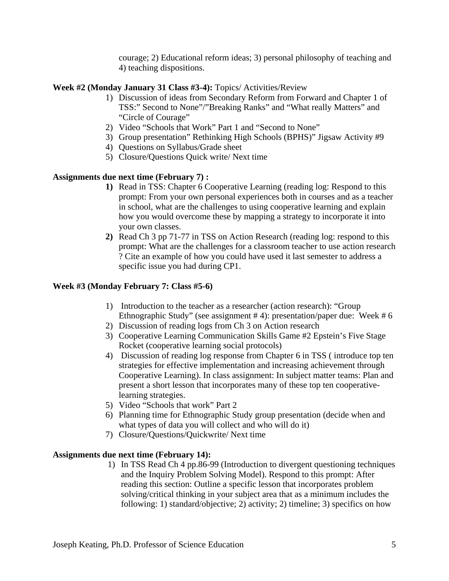courage; 2) Educational reform ideas; 3) personal philosophy of teaching and 4) teaching dispositions.

# **Week #2 (Monday January 31 Class #3-4):** Topics/ Activities/Review

- 1) Discussion of ideas from Secondary Reform from Forward and Chapter 1 of TSS:" Second to None"/"Breaking Ranks" and "What really Matters" and "Circle of Courage"
- 2) Video "Schools that Work" Part 1 and "Second to None"
- 3) Group presentation" Rethinking High Schools (BPHS)" Jigsaw Activity #9
- 4) Questions on Syllabus/Grade sheet
- 5) Closure/Questions Quick write/ Next time

# **Assignments due next time (February 7) :**

- **1)** Read in TSS: Chapter 6 Cooperative Learning (reading log: Respond to this prompt: From your own personal experiences both in courses and as a teacher in school, what are the challenges to using cooperative learning and explain how you would overcome these by mapping a strategy to incorporate it into your own classes.
- **2)** Read Ch 3 pp 71-77 in TSS on Action Research (reading log: respond to this prompt: What are the challenges for a classroom teacher to use action research ? Cite an example of how you could have used it last semester to address a specific issue you had during CP1.

# **Week #3 (Monday February 7: Class #5-6)**

- 1) Introduction to the teacher as a researcher (action research): "Group Ethnographic Study" (see assignment # 4): presentation/paper due: Week # 6
- 2) Discussion of reading logs from Ch 3 on Action research
- 3) Cooperative Learning Communication Skills Game #2 Epstein's Five Stage Rocket (cooperative learning social protocols)
- 4) Discussion of reading log response from Chapter 6 in TSS ( introduce top ten strategies for effective implementation and increasing achievement through Cooperative Learning). In class assignment: In subject matter teams: Plan and present a short lesson that incorporates many of these top ten cooperativelearning strategies.
- 5) Video "Schools that work" Part 2
- 6) Planning time for Ethnographic Study group presentation (decide when and what types of data you will collect and who will do it)
- 7) Closure/Questions/Quickwrite/ Next time

# **Assignments due next time (February 14):**

1) In TSS Read Ch 4 pp.86-99 (Introduction to divergent questioning techniques and the Inquiry Problem Solving Model). Respond to this prompt: After reading this section: Outline a specific lesson that incorporates problem solving/critical thinking in your subject area that as a minimum includes the following: 1) standard/objective; 2) activity; 2) timeline; 3) specifics on how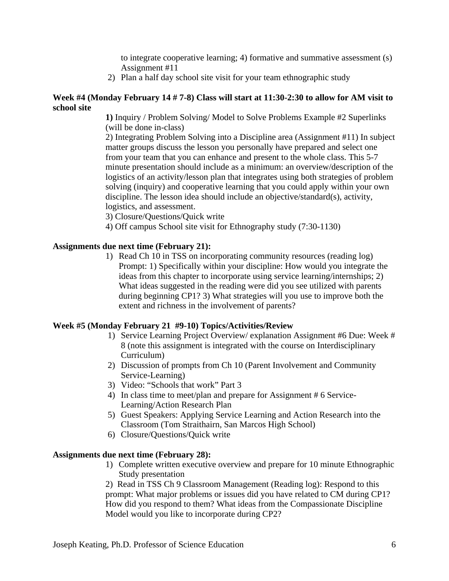to integrate cooperative learning; 4) formative and summative assessment (s) Assignment #11

2) Plan a half day school site visit for your team ethnographic study

# **Week #4 (Monday February 14 # 7-8) Class will start at 11:30-2:30 to allow for AM visit to school site**

**1)** Inquiry / Problem Solving/ Model to Solve Problems Example #2 Superlinks (will be done in-class)

2) Integrating Problem Solving into a Discipline area (Assignment #11) In subject matter groups discuss the lesson you personally have prepared and select one from your team that you can enhance and present to the whole class. This 5-7 minute presentation should include as a minimum: an overview/description of the logistics of an activity/lesson plan that integrates using both strategies of problem solving (inquiry) and cooperative learning that you could apply within your own discipline. The lesson idea should include an objective/standard(s), activity, logistics, and assessment.

3) Closure/Questions/Quick write

4) Off campus School site visit for Ethnography study (7:30-1130)

# **Assignments due next time (February 21):**

 extent and richness in the involvement of parents? 1) Read Ch 10 in TSS on incorporating community resources (reading log) Prompt: 1) Specifically within your discipline: How would you integrate the ideas from this chapter to incorporate using service learning/internships; 2) What ideas suggested in the reading were did you see utilized with parents during beginning CP1? 3) What strategies will you use to improve both the

# **Week #5 (Monday February 21 #9-10) Topics/Activities/Review**

- 1) Service Learning Project Overview/ explanation Assignment #6 Due: Week # 8 (note this assignment is integrated with the course on Interdisciplinary Curriculum)
- 2) Discussion of prompts from Ch 10 (Parent Involvement and Community Service-Learning)
- 3) Video: "Schools that work" Part 3
- 4) In class time to meet/plan and prepare for Assignment # 6 Service-Learning/Action Research Plan
- 5) Guest Speakers: Applying Service Learning and Action Research into the Classroom (Tom Straithairn, San Marcos High School)
- 6) Closure/Questions/Quick write

# **Assignments due next time (February 28):**

1) Complete written executive overview and prepare for 10 minute Ethnographic Study presentation

Model would you like to incorporate during CP2? 2) Read in TSS Ch 9 Classroom Management (Reading log): Respond to this prompt: What major problems or issues did you have related to CM during CP1? How did you respond to them? What ideas from the Compassionate Discipline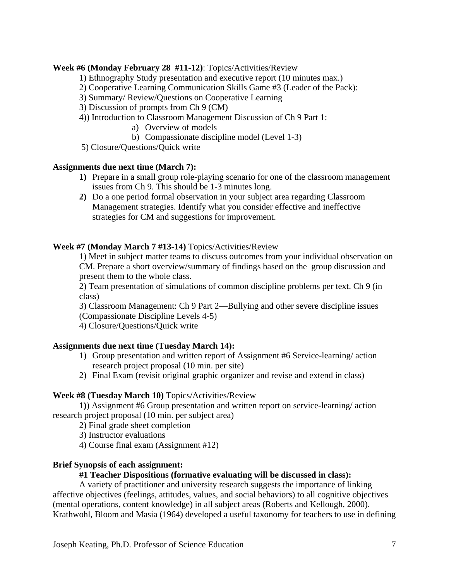# **Week #6 (Monday February 28 #11-12)**: Topics/Activities/Review

- 1) Ethnography Study presentation and executive report (10 minutes max.)
- 2) Cooperative Learning Communication Skills Game #3 (Leader of the Pack):
- 3) Summary/ Review/Questions on Cooperative Learning
- 3) Discussion of prompts from Ch 9 (CM)
- 4)) Introduction to Classroom Management Discussion of Ch 9 Part 1:
	- a) Overview of models
	- b) Compassionate discipline model (Level 1-3)
- 5) Closure/Questions/Quick write

# **Assignments due next time (March 7):**

- **1)** Prepare in a small group role-playing scenario for one of the classroom management issues from Ch 9. This should be 1-3 minutes long.
- **2)** Do a one period formal observation in your subject area regarding Classroom Management strategies. Identify what you consider effective and ineffective strategies for CM and suggestions for improvement.

# **Week #7 (Monday March 7 #13-14)** Topics/Activities/Review

1) Meet in subject matter teams to discuss outcomes from your individual observation on CM. Prepare a short overview/summary of findings based on the group discussion and present them to the whole class.

2) Team presentation of simulations of common discipline problems per text. Ch 9 (in class)

3) Classroom Management: Ch 9 Part 2—Bullying and other severe discipline issues (Compassionate Discipline Levels 4-5)

4) Closure/Questions/Quick write

# **Assignments due next time (Tuesday March 14):**

- 1) Group presentation and written report of Assignment #6 Service-learning/ action research project proposal (10 min. per site)
- 2) Final Exam (revisit original graphic organizer and revise and extend in class)

# **Week #8 (Tuesday March 10)** Topics/Activities/Review

**1)**) Assignment #6 Group presentation and written report on service-learning/ action research project proposal (10 min. per subject area)

- 2) Final grade sheet completion
- 3) Instructor evaluations
- 4) Course final exam (Assignment #12)

# **Brief Synopsis of each assignment:**

# **#1 Teacher Dispositions (formative evaluating will be discussed in class):**

A variety of practitioner and university research suggests the importance of linking affective objectives (feelings, attitudes, values, and social behaviors) to all cognitive objectives (mental operations, content knowledge) in all subject areas (Roberts and Kellough, 2000). Krathwohl, Bloom and Masia (1964) developed a useful taxonomy for teachers to use in defining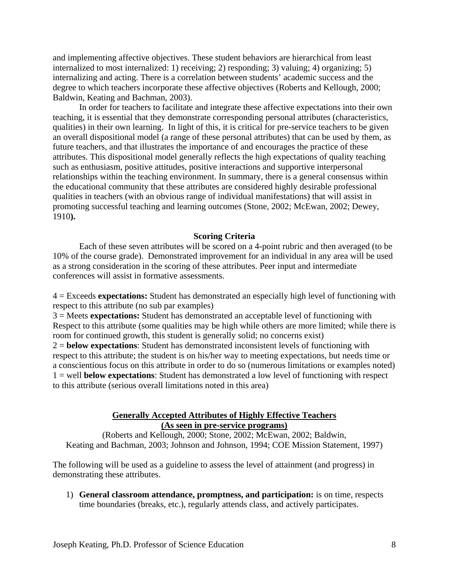and implementing affective objectives. These student behaviors are hierarchical from least internalized to most internalized: 1) receiving; 2) responding; 3) valuing; 4) organizing; 5) internalizing and acting. There is a correlation between students' academic success and the degree to which teachers incorporate these affective objectives (Roberts and Kellough, 2000; Baldwin, Keating and Bachman, 2003).

In order for teachers to facilitate and integrate these affective expectations into their own teaching, it is essential that they demonstrate corresponding personal attributes (characteristics, qualities) in their own learning. In light of this, it is critical for pre-service teachers to be given an overall dispositional model (a range of these personal attributes) that can be used by them, as future teachers, and that illustrates the importance of and encourages the practice of these attributes. This dispositional model generally reflects the high expectations of quality teaching such as enthusiasm, positive attitudes, positive interactions and supportive interpersonal relationships within the teaching environment. In summary, there is a general consensus within the educational community that these attributes are considered highly desirable professional qualities in teachers (with an obvious range of individual manifestations) that will assist in promoting successful teaching and learning outcomes (Stone, 2002; McEwan, 2002; Dewey, 1910**).** 

#### **Scoring Criteria**

Each of these seven attributes will be scored on a 4-point rubric and then averaged (to be 10% of the course grade). Demonstrated improvement for an individual in any area will be used as a strong consideration in the scoring of these attributes. Peer input and intermediate conferences will assist in formative assessments.

4 = Exceeds **expectations:** Student has demonstrated an especially high level of functioning with respect to this attribute (no sub par examples)

3 = Meets **expectations:** Student has demonstrated an acceptable level of functioning with Respect to this attribute (some qualities may be high while others are more limited; while there is room for continued growth, this student is generally solid; no concerns exist)

2 = **below expectations**: Student has demonstrated inconsistent levels of functioning with respect to this attribute; the student is on his/her way to meeting expectations, but needs time or a conscientious focus on this attribute in order to do so (numerous limitations or examples noted) 1 = well **below expectations**: Student has demonstrated a low level of functioning with respect to this attribute (serious overall limitations noted in this area)

## **Generally Accepted Attributes of Highly Effective Teachers (As seen in pre-service programs)**

(Roberts and Kellough, 2000; Stone, 2002; McEwan, 2002; Baldwin, Keating and Bachman, 2003; Johnson and Johnson, 1994; COE Mission Statement, 1997)

The following will be used as a guideline to assess the level of attainment (and progress) in demonstrating these attributes.

1) **General classroom attendance, promptness, and participation:** is on time, respects time boundaries (breaks, etc.), regularly attends class, and actively participates.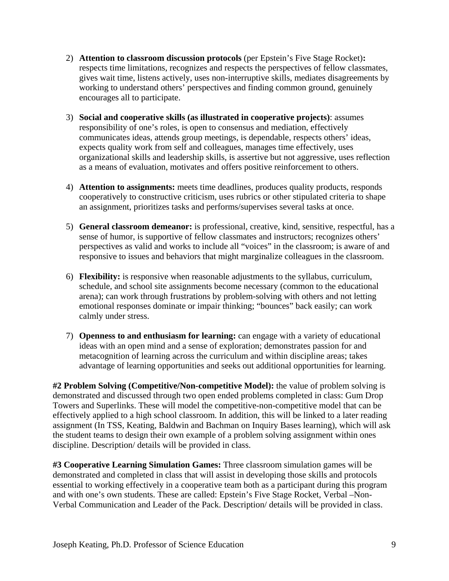- 2) **Attention to classroom discussion protocols** (per Epstein's Five Stage Rocket)**:**  respects time limitations, recognizes and respects the perspectives of fellow classmates, gives wait time, listens actively, uses non-interruptive skills, mediates disagreements by working to understand others' perspectives and finding common ground, genuinely encourages all to participate.
- 3) **Social and cooperative skills (as illustrated in cooperative projects)**: assumes responsibility of one's roles, is open to consensus and mediation, effectively communicates ideas, attends group meetings, is dependable, respects others' ideas, expects quality work from self and colleagues, manages time effectively, uses organizational skills and leadership skills, is assertive but not aggressive, uses reflection as a means of evaluation, motivates and offers positive reinforcement to others.
- 4) **Attention to assignments:** meets time deadlines, produces quality products, responds cooperatively to constructive criticism, uses rubrics or other stipulated criteria to shape an assignment, prioritizes tasks and performs/supervises several tasks at once.
- 5) **General classroom demeanor:** is professional, creative, kind, sensitive, respectful, has a sense of humor, is supportive of fellow classmates and instructors; recognizes others' perspectives as valid and works to include all "voices" in the classroom; is aware of and responsive to issues and behaviors that might marginalize colleagues in the classroom.
- 6) **Flexibility:** is responsive when reasonable adjustments to the syllabus, curriculum, schedule, and school site assignments become necessary (common to the educational arena); can work through frustrations by problem-solving with others and not letting emotional responses dominate or impair thinking; "bounces" back easily; can work calmly under stress.
- 7) **Openness to and enthusiasm for learning:** can engage with a variety of educational ideas with an open mind and a sense of exploration; demonstrates passion for and metacognition of learning across the curriculum and within discipline areas; takes advantage of learning opportunities and seeks out additional opportunities for learning.

**#2 Problem Solving (Competitive/Non-competitive Model):** the value of problem solving is demonstrated and discussed through two open ended problems completed in class: Gum Drop Towers and Superlinks. These will model the competitive-non-competitive model that can be effectively applied to a high school classroom. In addition, this will be linked to a later reading assignment (In TSS, Keating, Baldwin and Bachman on Inquiry Bases learning), which will ask the student teams to design their own example of a problem solving assignment within ones discipline. Description/ details will be provided in class.

**#3 Cooperative Learning Simulation Games:** Three classroom simulation games will be demonstrated and completed in class that will assist in developing those skills and protocols essential to working effectively in a cooperative team both as a participant during this program and with one's own students. These are called: Epstein's Five Stage Rocket, Verbal –Non-Verbal Communication and Leader of the Pack. Description/ details will be provided in class.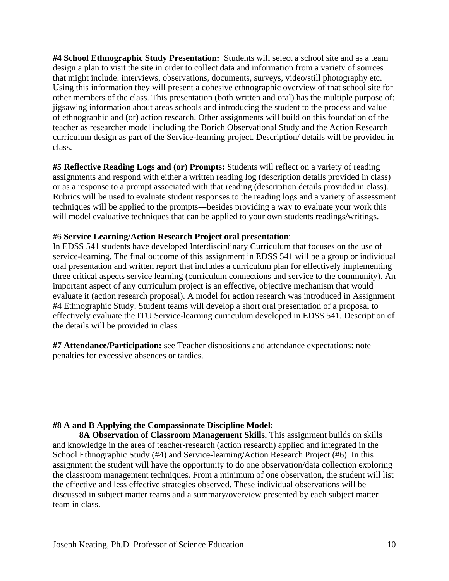**#4 School Ethnographic Study Presentation:** Students will select a school site and as a team design a plan to visit the site in order to collect data and information from a variety of sources that might include: interviews, observations, documents, surveys, video/still photography etc. Using this information they will present a cohesive ethnographic overview of that school site for other members of the class. This presentation (both written and oral) has the multiple purpose of: jigsawing information about areas schools and introducing the student to the process and value of ethnographic and (or) action research. Other assignments will build on this foundation of the teacher as researcher model including the Borich Observational Study and the Action Research curriculum design as part of the Service-learning project. Description/ details will be provided in class.

**#5 Reflective Reading Logs and (or) Prompts:** Students will reflect on a variety of reading assignments and respond with either a written reading log (description details provided in class) or as a response to a prompt associated with that reading (description details provided in class). Rubrics will be used to evaluate student responses to the reading logs and a variety of assessment techniques will be applied to the prompts---besides providing a way to evaluate your work this will model evaluative techniques that can be applied to your own students readings/writings.

#### #6 **Service Learning/Action Research Project oral presentation**:

In EDSS 541 students have developed Interdisciplinary Curriculum that focuses on the use of service-learning. The final outcome of this assignment in EDSS 541 will be a group or individual oral presentation and written report that includes a curriculum plan for effectively implementing three critical aspects service learning (curriculum connections and service to the community). An important aspect of any curriculum project is an effective, objective mechanism that would evaluate it (action research proposal). A model for action research was introduced in Assignment #4 Ethnographic Study. Student teams will develop a short oral presentation of a proposal to effectively evaluate the ITU Service-learning curriculum developed in EDSS 541. Description of the details will be provided in class.

**#7 Attendance/Participation:** see Teacher dispositions and attendance expectations: note penalties for excessive absences or tardies.

## **#8 A and B Applying the Compassionate Discipline Model:**

**8A Observation of Classroom Management Skills.** This assignment builds on skills and knowledge in the area of teacher-research (action research) applied and integrated in the School Ethnographic Study (#4) and Service-learning/Action Research Project (#6). In this assignment the student will have the opportunity to do one observation/data collection exploring the classroom management techniques. From a minimum of one observation, the student will list the effective and less effective strategies observed. These individual observations will be discussed in subject matter teams and a summary/overview presented by each subject matter team in class.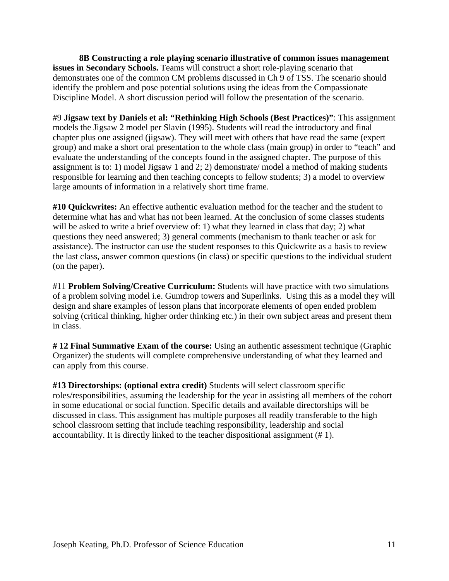**8B Constructing a role playing scenario illustrative of common issues management issues in Secondary Schools.** Teams will construct a short role-playing scenario that demonstrates one of the common CM problems discussed in Ch 9 of TSS. The scenario should identify the problem and pose potential solutions using the ideas from the Compassionate Discipline Model. A short discussion period will follow the presentation of the scenario.

#9 **Jigsaw text by Daniels et al: "Rethinking High Schools (Best Practices)"**: This assignment models the Jigsaw 2 model per Slavin (1995). Students will read the introductory and final chapter plus one assigned (jigsaw). They will meet with others that have read the same (expert group) and make a short oral presentation to the whole class (main group) in order to "teach" and evaluate the understanding of the concepts found in the assigned chapter. The purpose of this assignment is to: 1) model Jigsaw 1 and 2; 2) demonstrate/ model a method of making students responsible for learning and then teaching concepts to fellow students; 3) a model to overview large amounts of information in a relatively short time frame.

**#10 Quickwrites:** An effective authentic evaluation method for the teacher and the student to determine what has and what has not been learned. At the conclusion of some classes students will be asked to write a brief overview of: 1) what they learned in class that day; 2) what questions they need answered; 3) general comments (mechanism to thank teacher or ask for assistance). The instructor can use the student responses to this Quickwrite as a basis to review the last class, answer common questions (in class) or specific questions to the individual student (on the paper).

#11 **Problem Solving/Creative Curriculum:** Students will have practice with two simulations of a problem solving model i.e. Gumdrop towers and Superlinks. Using this as a model they will design and share examples of lesson plans that incorporate elements of open ended problem solving (critical thinking, higher order thinking etc.) in their own subject areas and present them in class.

**# 12 Final Summative Exam of the course:** Using an authentic assessment technique (Graphic Organizer) the students will complete comprehensive understanding of what they learned and can apply from this course.

accountability. It is directly linked to the teacher dispositional assignment (#1). **#13 Directorships: (optional extra credit)** Students will select classroom specific roles/responsibilities, assuming the leadership for the year in assisting all members of the cohort in some educational or social function. Specific details and available directorships will be discussed in class. This assignment has multiple purposes all readily transferable to the high school classroom setting that include teaching responsibility, leadership and social accountability. It is directly linked to the teacher dispositional assignment (# 1).<br>Joseph Keating, Ph.D. Professor of Science Education 11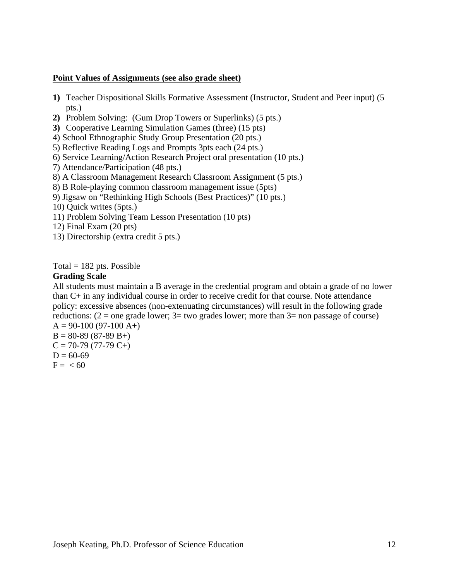# **Point Values of Assignments (see also grade sheet)**

- **1)** Teacher Dispositional Skills Formative Assessment (Instructor, Student and Peer input) (5 pts.)
- **2)** Problem Solving: (Gum Drop Towers or Superlinks) (5 pts.)
- **3)** Cooperative Learning Simulation Games (three) (15 pts)
- 4) School Ethnographic Study Group Presentation (20 pts.)
- 5) Reflective Reading Logs and Prompts 3pts each (24 pts.)
- 6) Service Learning/Action Research Project oral presentation (10 pts.)
- 7) Attendance/Participation (48 pts.)
- 8) A Classroom Management Research Classroom Assignment (5 pts.)
- 8) B Role-playing common classroom management issue (5pts)
- 9) Jigsaw on "Rethinking High Schools (Best Practices)" (10 pts.)
- 10) Quick writes (5pts.)
- 11) Problem Solving Team Lesson Presentation (10 pts)
- 12) Final Exam (20 pts)
- 13) Directorship (extra credit 5 pts.)

Total  $= 182$  pts. Possible

#### **Grading Scale**

All students must maintain a B average in the credential program and obtain a grade of no lower than C+ in any individual course in order to receive credit for that course. Note attendance policy: excessive absences (non-extenuating circumstances) will result in the following grade reductions:  $(2 =$  one grade lower;  $3 =$  two grades lower; more than  $3 =$  non passage of course)

 $A = 90-100 (97-100 A+)$  $B = 80-89(87-89 B+ )$  $C = 70-79(77-79 C+ )$  $D = 60-69$  $F = < 60$